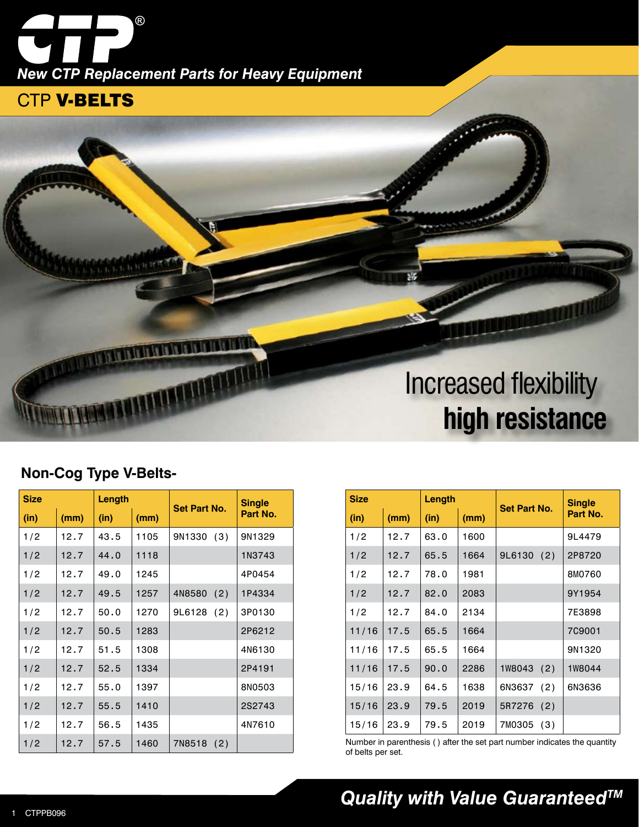*New CTP Replacement Parts for Heavy Equipment*

 $^{\circledR}$ 

### CTP V-BELTS



#### **Non-Cog Type V-Belts-**

| <b>Size</b> |      | Length |      | <b>Set Part No.</b> | <b>Single</b> |
|-------------|------|--------|------|---------------------|---------------|
| (in)        | (mm) | (in)   | (mm) |                     | Part No.      |
| 1/2         | 12.7 | 43.5   | 1105 | 9N1330<br>(3)       | 9N1329        |
| 1/2         | 12.7 | 44.0   | 1118 |                     | 1N3743        |
| 1/2         | 12.7 | 49.0   | 1245 |                     | 4P0454        |
| 1/2         | 12.7 | 49.5   | 1257 | 4N8580<br>(2)       | 1P4334        |
| 1/2         | 12.7 | 50.0   | 1270 | 9L6128<br>(2)       | 3P0130        |
| 1/2         | 12.7 | 50.5   | 1283 |                     | 2P6212        |
| 1/2         | 12.7 | 51.5   | 1308 |                     | 4N6130        |
| 1/2         | 12.7 | 52.5   | 1334 |                     | 2P4191        |
| 1/2         | 12.7 | 55.0   | 1397 |                     | 8N0503        |
| 1/2         | 12.7 | 55.5   | 1410 |                     | 2S2743        |
| 1/2         | 12.7 | 56.5   | 1435 |                     | 4N7610        |
| 1/2         | 12.7 | 57.5   | 1460 | 7N8518<br>(2)       |               |

| <b>Size</b> |      | Length |      | Set Part No.  | <b>Single</b> |
|-------------|------|--------|------|---------------|---------------|
| (in)        | (mm) | (in)   | (mm) |               | Part No.      |
| 1/2         | 12.7 | 63.0   | 1600 |               | 9L4479        |
| 1/2         | 12.7 | 65.5   | 1664 | 9L6130<br>(2) | 2P8720        |
| 1/2         | 12.7 | 78.0   | 1981 |               | 8M0760        |
| 1/2         | 12.7 | 82.0   | 2083 |               | 9Y1954        |
| 1/2         | 12.7 | 84.0   | 2134 |               | 7E3898        |
| 11/16       | 17.5 | 65.5   | 1664 |               | 7C9001        |
| 11/16       | 17.5 | 65.5   | 1664 |               | 9N1320        |
| 11/16       | 17.5 | 90.0   | 2286 | 1W8043 (2)    | 1W8044        |
| 15/16       | 23.9 | 64.5   | 1638 | 6N3637 (2)    | 6N3636        |
| 15/16       | 23.9 | 79.5   | 2019 | 5R7276 (2)    |               |
| 15/16       | 23.9 | 79.5   | 2019 | 7M0305 (3)    |               |

Number in parenthesis ( ) after the set part number indicates the quantity of belts per set.

## *Quality with Value GuaranteedTM*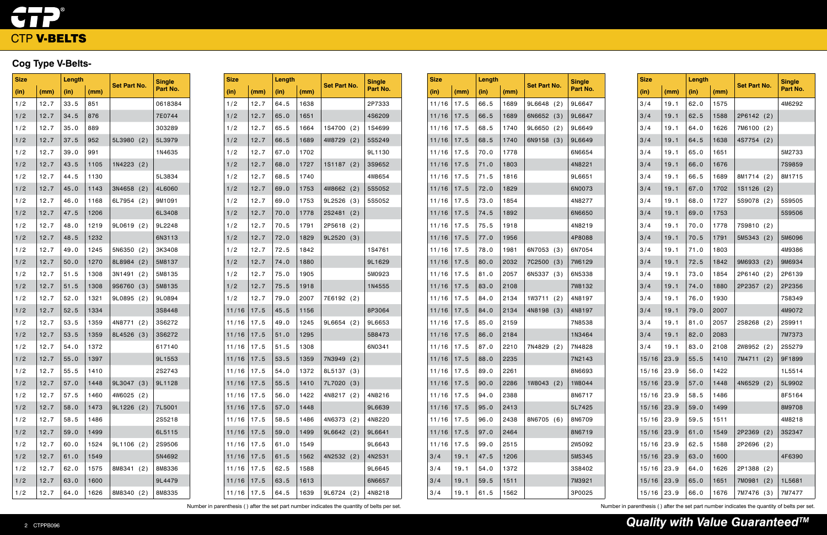# $\bullet$   $\bullet$   $\bullet$ CTP V-BELTS

## **Cog Type V-Belts-**

| <b>Size</b> |      | Length |      | <b>Set Part No.</b> |     | <b>Single</b> |
|-------------|------|--------|------|---------------------|-----|---------------|
| (in)        | (mm) | (in)   | (mm) |                     |     | Part No.      |
| 1/2         | 12.7 | 33.5   | 851  |                     |     | 0618384       |
| 1/2         | 12.7 | 34.5   | 876  |                     |     | 7E0744        |
| 1/2         | 12.7 | 35.0   | 889  |                     |     | 303289        |
| 1/2         | 12.7 | 37.5   | 952  | 5L3980              | (2) | 5L3979        |
| 1/2         | 12.7 | 39.0   | 991  |                     |     | 1N4635        |
| 1/2         | 12.7 | 43.5   | 1105 | 1N4223              | (2) |               |
| 1/2         | 12.7 | 44.5   | 1130 |                     |     | 5L3834        |
| 1/2         | 12.7 | 45.0   | 1143 | 3N4658              | (2) | 4L6060        |
| 1/2         | 12.7 | 46.0   | 1168 | 6L7954              | (2) | 9M1091        |
| 1/2         | 12.7 | 47.5   | 1206 |                     |     | 6L3408        |
| 1/2         | 12.7 | 48.0   | 1219 | 9L0619              | (2) | 9L2248        |
| 1/2         | 12.7 | 48.5   | 1232 |                     |     | 6N3113        |
| 1/2         | 12.7 | 49.0   | 1245 | 5N6350              | (2) | 3K3408        |
| 1/2         | 12.7 | 50.0   | 1270 | 8L8984              | (2) | 5M8137        |
| 1/2         | 12.7 | 51.5   | 1308 | 3N1491              | (2) | 5M8135        |
| 1/2         | 12.7 | 51.5   | 1308 | 9S6760              | (3) | 5M8135        |
| 1/2         | 12.7 | 52.0   | 1321 | 9L0895              | (2) | 9L0894        |
| 1/2         | 12.7 | 52.5   | 1334 |                     |     | 3S8448        |
| 1/2         | 12.7 | 53.5   | 1359 | 4N8771              | (2) | 3S6272        |
| 1/2         | 12.7 | 53.5   | 1359 | 8L4526              | (3) | 3S6272        |
| 1/2         | 12.7 | 54.0   | 1372 |                     |     | 617140        |
| 1/2         | 12.7 | 55.0   | 1397 |                     |     | 9L1553        |
| 1/2         | 12.7 | 55.5   | 1410 |                     |     | 2S2743        |
| 1/2         | 12.7 | 57.0   | 1448 | 9L3047              | (3) | 9L1128        |
| 1/2         | 12.7 | 57.5   | 1460 | 4W6025              | (2) |               |
| 1/2         | 12.7 | 58.0   | 1473 | 9L1226              | (2) | 7L5001        |
| 1/2         | 12.7 | 58.5   | 1486 |                     |     | 2S5218        |
| 1/2         | 12.7 | 59.0   | 1499 |                     |     | 6L5115        |
| 1/2         | 12.7 | 60.0   | 1524 | 9L1106              | (2) | 2S9506        |
| 1/2         | 12.7 | 61.0   | 1549 |                     |     | 5N4692        |
| 1/2         | 12.7 | 62.0   | 1575 | 8M8341              | (2) | 8M8336        |
| 1/2         | 12.7 | 63.0   | 1600 |                     |     | 9L4479        |
| 1/2         | 12.7 | 64.0   | 1626 | 8M8340              | (2) | 8M8335        |

| <b>Size</b> |      | Length |      | <b>Set Part No.</b> |     | <b>Single</b> |
|-------------|------|--------|------|---------------------|-----|---------------|
| (in)        | (mm) | (in)   | (mm) |                     |     | Part No.      |
| 11/16       | 17.5 | 66.5   | 1689 | 9L6648              | (2) | 9L6647        |
| 11/16       | 17.5 | 66.5   | 1689 | 6N6652              | (3) | 9L6647        |
| 11/16       | 17.5 | 68.5   | 1740 | 9L6650              | (2) | 9L6649        |
| 11/16       | 17.5 | 68.5   | 1740 | 6N9158              | (3) | 9L6649        |
| 11/16       | 17.5 | 70.0   | 1778 |                     |     | 6N6654        |
| 11/16       | 17.5 | 71.0   | 1803 |                     |     | 4N8221        |
| 11/16       | 17.5 | 71.5   | 1816 |                     |     | 9L6651        |
| 11/16       | 17.5 | 72.0   | 1829 |                     |     | 6N0073        |
| 11/16       | 17.5 | 73.0   | 1854 |                     |     | 4N8277        |
| 11/16       | 17.5 | 74.5   | 1892 |                     |     | 6N6650        |
| 11/16       | 17.5 | 75.5   | 1918 |                     |     | 4N8219        |
| 11/16       | 17.5 | 77.0   | 1956 |                     |     | 4P8088        |
| 11/16       | 17.5 | 78.0   | 1981 | 6N7053              | (3) | 6N7054        |
| 11/16       | 17.5 | 80.0   | 2032 | 7C2500              | (3) | 7W6129        |
| 11/16       | 17.5 | 81.0   | 2057 | 6N5337              | (3) | 6N5338        |
| 11/16       | 17.5 | 83.0   | 2108 |                     |     | 7W8132        |
| 11/16       | 17.5 | 84.0   | 2134 | <b>1W3711</b>       | (2) | 4N8197        |
| 11/16       | 17.5 | 84.0   | 2134 | 4N8198              | (3) | 4N8197        |
| 11/16       | 17.5 | 85.0   | 2159 |                     |     | 7N8538        |
| 11/16       | 17.5 | 86.0   | 2184 |                     |     | 1N3464        |
| 11/16       | 17.5 | 87.0   | 2210 | 7N4829              | (2) | 7N4828        |
| 11/16       | 17.5 | 88.0   | 2235 |                     |     | 7N2143        |
| 11/16       | 17.5 | 89.0   | 2261 |                     |     | 8N6693        |
| 11/16       | 17.5 | 90.0   | 2286 | 1W8043 (2)          |     | 1W8044        |
| 11/16       | 17.5 | 94.0   | 2388 |                     |     | 8N6717        |
| 11/16       | 17.5 | 95.0   | 2413 |                     |     | 5L7425        |
| 11/16       | 17.5 | 96.0   | 2438 | 8N6705              | (6) | 8N6709        |
| 11/16       | 17.5 | 97.0   | 2464 |                     |     | 8N6719        |
| 11/16       | 17.5 | 99.0   | 2515 |                     |     | 2W5092        |
| 3/4         | 19.1 | 47.5   | 1206 |                     |     | 5M5345        |
| 3/4         | 19.1 | 54.0   | 1372 |                     |     | 3S8402        |
| 3/4         | 19.1 | 59.5   | 1511 |                     |     | 7M3921        |
| 3/4         | 19.1 | 61.5   | 1562 |                     |     | 3P0025        |

Number in parenthesis () after the set part number indicates the quantity of belts per set.<br>
Number in parenthesis () after the set part number indicates the quantity of belts per set.

| <b>Size</b> |      |      | Length |               | <b>Set Part No.</b> |          |  |
|-------------|------|------|--------|---------------|---------------------|----------|--|
| (in)        | (mm) | (in) | (mm)   |               |                     | Part No. |  |
| 1/2         | 12.7 | 64.5 | 1638   |               |                     | 2P7333   |  |
| 1/2         | 12.7 | 65.0 | 1651   |               |                     | 4S6209   |  |
| 1/2         | 12.7 | 65.5 | 1664   | 1S4700        | (2)                 | 1S4699   |  |
| 1/2         | 12.7 | 66.5 | 1689   | 4W8729        | (2)                 | 5S5249   |  |
| 1/2         | 12.7 | 67.0 | 1702   |               |                     | 9L1130   |  |
| 1/2         | 12.7 | 68.0 | 1727   | <b>1S1187</b> | (2)                 | 3S9652   |  |
| 1/2         | 12.7 | 68.5 | 1740   |               |                     | 4W8654   |  |
| 1/2         | 12.7 | 69.0 | 1753   | 4W8662        | (2)                 | 5S5052   |  |
| 1/2         | 12.7 | 69.0 | 1753   | 9L2526        | (3)                 | 5S5052   |  |
| 1/2         | 12.7 | 70.0 | 1778   | 2S2481        | (2)                 |          |  |
| 1/2         | 12.7 | 70.5 | 1791   | 2P5618        | (2)                 |          |  |
| 1/2         | 12.7 | 72.0 | 1829   | 9L2520        | (3)                 |          |  |
| 1/2         | 12.7 | 72.5 | 1842   |               |                     | 1S4761   |  |
| 1/2         | 12.7 | 74.0 | 1880   |               |                     | 9L1629   |  |
| 1/2         | 12.7 | 75.0 | 1905   |               |                     | 5M0923   |  |
| 1/2         | 12.7 | 75.5 | 1918   |               |                     | 1N4555   |  |
| 1/2         | 12.7 | 79.0 | 2007   | 7E6192        | (2)                 |          |  |
| 11/16       | 17.5 | 45.5 | 1156   |               |                     | 8P3064   |  |
| 11/16       | 17.5 | 49.0 | 1245   | 9L6654        | (2)                 | 9L6653   |  |
| 11/16       | 17.5 | 51.0 | 1295   |               |                     | 5B8473   |  |
| 11/16       | 17.5 | 51.5 | 1308   |               |                     | 6N0341   |  |
| 11/16       | 17.5 | 53.5 | 1359   | 7N3949        | (2)                 |          |  |
| 11/16       | 17.5 | 54.0 | 1372   | 8L5137        | (3)                 |          |  |
| 11/16       | 17.5 | 55.5 | 1410   | 7L7020        | (3)                 |          |  |
| 11/16       | 17.5 | 56.0 | 1422   | 4N8217        | (2)                 | 4N8216   |  |
| 11/16       | 17.5 | 57.0 | 1448   |               |                     | 9L6639   |  |
| 11/16       | 17.5 | 58.5 | 1486   | 4N6373        | (2)                 | 4N8220   |  |
| 11/16       | 17.5 | 59.0 | 1499   | 9L6642        | (2)                 | 9L6641   |  |
| 11/16       | 17.5 | 61.0 | 1549   |               |                     | 9L6643   |  |
| 11/16       | 17.5 | 61.5 | 1562   | 4N2532        | (2)                 | 4N2531   |  |
| 11/16       | 17.5 | 62.5 | 1588   |               |                     | 9L6645   |  |
| 11/16       | 17.5 | 63.5 | 1613   |               |                     | 6N6657   |  |
| 11/16       | 17.5 | 64.5 | 1639   | 9L6724        | (2)                 | 4N8218   |  |

| <b>Size</b> |      | Length |      |                     |     | <b>Single</b> |
|-------------|------|--------|------|---------------------|-----|---------------|
| (in)        | (mm) | (in)   | (mm) | <b>Set Part No.</b> |     | Part No.      |
| 3/4         | 19.1 | 62.0   | 1575 |                     |     | 4M6292        |
| 3/4         | 19.1 | 62.5   | 1588 | 2P6142              | (2) |               |
| 3/4         | 19.1 | 64.0   | 1626 | 7M6100              | (2) |               |
| 3/4         | 19.1 | 64.5   | 1638 | 4S7754              | (2) |               |
| 3/4         | 19.1 | 65.0   | 1651 |                     |     | 5M2733        |
| 3/4         | 19.1 | 66.0   | 1676 |                     |     | 7S9859        |
| 3/4         | 19.1 | 66.5   | 1689 | 8M1714              | (2) | 8M1715        |
| 3/4         | 19.1 | 67.0   | 1702 | 1S1126              | (2) |               |
| 3/4         | 19.1 | 68.0   | 1727 | 5S9078              | (2) | 5S9505        |
| 3/4         | 19.1 | 69.0   | 1753 |                     |     | 5S9506        |
| 3/4         | 19.1 | 70.0   | 1778 | 7S9810              | (2) |               |
| 3/4         | 19.1 | 70.5   | 1791 | 5M5343              | (2) | 5M6096        |
| 3/4         | 19.1 | 71.0   | 1803 |                     |     | 4M9386        |
| 3/4         | 19.1 | 72.5   | 1842 | 9M6933              | (2) | 9M6934        |
| 3/4         | 19.1 | 73.0   | 1854 | 2P6140              | (2) | 2P6139        |
| 3/4         | 19.1 | 74.0   | 1880 | 2P2357              | (2) | 2P2356        |
| 3/4         | 19.1 | 76.0   | 1930 |                     |     | 7S8349        |
| 3/4         | 19.1 | 79.0   | 2007 |                     |     | 4M9072        |
| 3/4         | 19.1 | 81.0   | 2057 | 2S8268              | (2) | 2S9911        |
| 3/4         | 19.1 | 82.0   | 2083 |                     |     | 7M7373        |
| 3/4         | 19.1 | 83.0   | 2108 | 2W8952              | (2) | 2S5279        |
| 15/16       | 23.9 | 55.5   | 1410 | 7M4711              | (2) | 9F1899        |
| 15/16       | 23.9 | 56.0   | 1422 |                     |     | 1L5514        |
| 15/16       | 23.9 | 57.0   | 1448 | 4N6529              | (2) | 5L9902        |
| 15/16       | 23.9 | 58.5   | 1486 |                     |     | 8F5164        |
| 15/16       | 23.9 | 59.0   | 1499 |                     |     | 8M9708        |
| 15/16       | 23.9 | 59.5   | 1511 |                     |     | 4M8218        |
| 15/16       | 23.9 | 61.0   | 1549 | 2P2369              | (2) | 3S2347        |
| 15/16       | 23.9 | 62.5   | 1588 | 2P2696              | (2) |               |
| 15/16       | 23.9 | 63.0   | 1600 |                     |     | 4F6390        |
| 15/16       | 23.9 | 64.0   | 1626 | 2P1388              | (2) |               |
| 15/16       | 23.9 | 65.0   | 1651 | 7M0981              | (2) | 1L5681        |
| 15/16       | 23.9 | 66.0   | 1676 | 7M7476              | (3) | 7M7477        |

2 CTPPB096 **Quality with Value Guaranteed<sup>TM</sup>**